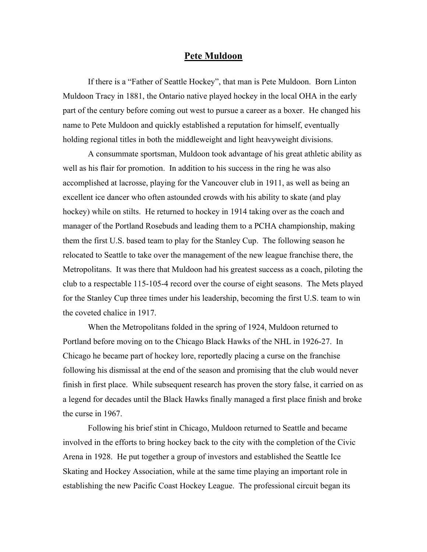## **Pete Muldoon**

If there is a "Father of Seattle Hockey", that man is Pete Muldoon. Born Linton Muldoon Tracy in 1881, the Ontario native played hockey in the local OHA in the early part of the century before coming out west to pursue a career as a boxer. He changed his name to Pete Muldoon and quickly established a reputation for himself, eventually holding regional titles in both the middleweight and light heavyweight divisions.

A consummate sportsman, Muldoon took advantage of his great athletic ability as well as his flair for promotion. In addition to his success in the ring he was also accomplished at lacrosse, playing for the Vancouver club in 1911, as well as being an excellent ice dancer who often astounded crowds with his ability to skate (and play hockey) while on stilts. He returned to hockey in 1914 taking over as the coach and manager of the Portland Rosebuds and leading them to a PCHA championship, making them the first U.S. based team to play for the Stanley Cup. The following season he relocated to Seattle to take over the management of the new league franchise there, the Metropolitans. It was there that Muldoon had his greatest success as a coach, piloting the club to a respectable 115-105-4 record over the course of eight seasons. The Mets played for the Stanley Cup three times under his leadership, becoming the first U.S. team to win the coveted chalice in 1917.

When the Metropolitans folded in the spring of 1924, Muldoon returned to Portland before moving on to the Chicago Black Hawks of the NHL in 1926-27. In Chicago he became part of hockey lore, reportedly placing a curse on the franchise following his dismissal at the end of the season and promising that the club would never finish in first place. While subsequent research has proven the story false, it carried on as a legend for decades until the Black Hawks finally managed a first place finish and broke the curse in 1967.

Following his brief stint in Chicago, Muldoon returned to Seattle and became involved in the efforts to bring hockey back to the city with the completion of the Civic Arena in 1928. He put together a group of investors and established the Seattle Ice Skating and Hockey Association, while at the same time playing an important role in establishing the new Pacific Coast Hockey League. The professional circuit began its